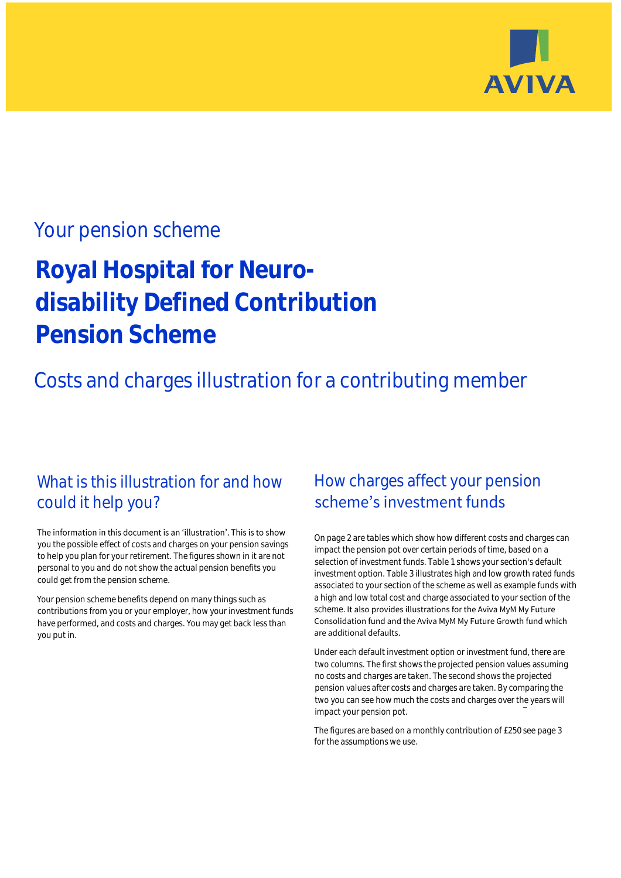

## Your pension scheme

# **Royal Hospital for Neurodisability Defined Contribution Pension Scheme**

## Costs and charges illustration for a contributing member

### What is this illustration for and how could it help you?

#### The information in this document is an 'illustration'. This is to show you the possible effect of costs and charges on your pension savings to help you plan for your retirement. The figures shown in it are not personal to you and do not show the actual pension benefits you could get from the pension scheme.

Your pension scheme benefits depend on many things such as contributions from you or your employer, how your investment funds have performed, and costs and charges. You may get back less than you put in.

## How charges affect your pension scheme's investment funds

On page 2 are tables which show how different costs and charges can impact the pension pot over certain periods of time, based on a selection of investment funds. Table 1 shows your section's default investment option. Table 3 illustrates high and low growth rated funds associated to your section of the scheme as well as example funds with a high and low total cost and charge associated to your section of the scheme. It also provides illustrations for the Aviva MyM My Future Consolidation fund and the Aviva MyM My Future Growth fund which are additional defaults.

Under each default investment option or investment fund, there are two columns. The first shows the projected pension values assuming no costs and charges are taken. The second shows the projected pension values after costs and charges are taken. By comparing the two you can see how much the costs and charges over the years will impact your pension pot.

The figures are based on a monthly contribution of £250 see page 3 for the assumptions we use.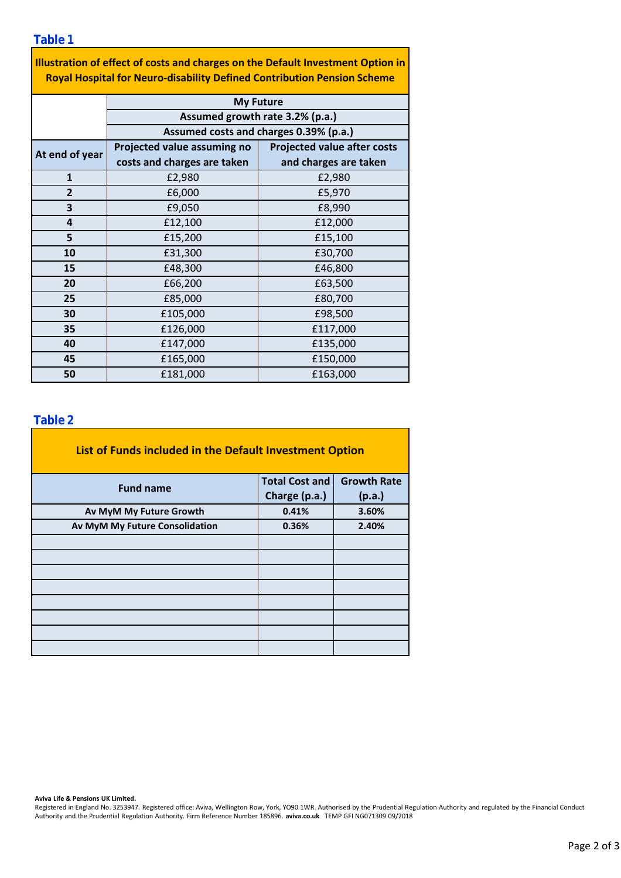**Table 1**

| <b>Illustration of effect of costs and charges on the Default Investment Option in</b> |
|----------------------------------------------------------------------------------------|
| <b>Royal Hospital for Neuro-disability Defined Contribution Pension Scheme</b>         |

|                | <b>My Future</b>                       |                                    |  |  |  |  |
|----------------|----------------------------------------|------------------------------------|--|--|--|--|
|                | Assumed growth rate 3.2% (p.a.)        |                                    |  |  |  |  |
|                | Assumed costs and charges 0.39% (p.a.) |                                    |  |  |  |  |
| At end of year | Projected value assuming no            | <b>Projected value after costs</b> |  |  |  |  |
|                | costs and charges are taken            | and charges are taken              |  |  |  |  |
| $\mathbf{1}$   | £2,980                                 | £2,980                             |  |  |  |  |
| $\overline{2}$ | £6,000                                 | £5,970                             |  |  |  |  |
| 3              | £9,050                                 | £8,990                             |  |  |  |  |
| 4              | £12,100                                | £12,000                            |  |  |  |  |
| 5              | £15,200                                | £15,100                            |  |  |  |  |
| 10             | £31,300                                | £30,700                            |  |  |  |  |
| 15             | £48,300                                | £46,800                            |  |  |  |  |
| 20             | £66,200                                | £63,500                            |  |  |  |  |
| 25             | £85,000                                | £80,700                            |  |  |  |  |
| 30             | £105,000                               | £98,500                            |  |  |  |  |
| 35             | £126,000                               | £117,000                           |  |  |  |  |
| 40             | £147,000                               | £135,000                           |  |  |  |  |
| 45             | £165,000<br>£150,000                   |                                    |  |  |  |  |
| 50             | £181,000<br>£163,000                   |                                    |  |  |  |  |

#### **Table 2**

| List of Funds included in the Default Investment Option |                       |                    |
|---------------------------------------------------------|-----------------------|--------------------|
| <b>Fund name</b>                                        | <b>Total Cost and</b> | <b>Growth Rate</b> |
|                                                         | Charge (p.a.)         | (p.a.)             |
| Av MyM My Future Growth                                 | 0.41%                 | 3.60%              |
| Av MyM My Future Consolidation                          | 0.36%                 | 2.40%              |
|                                                         |                       |                    |
|                                                         |                       |                    |
|                                                         |                       |                    |
|                                                         |                       |                    |
|                                                         |                       |                    |
|                                                         |                       |                    |
|                                                         |                       |                    |
|                                                         |                       |                    |

**Aviva Life & Pensions UK Limited.**

Registered in England No. 3253947. Registered office: Aviva, Wellington Row, York, YO90 1WR. Authorised by the Prudential Regulation Authority and regulated by the Financial Conduct Authority and the Prudential Regulation Authority. Firm Reference Number 185896. **aviva.co.uk** TEMP GFI NG071309 09/2018